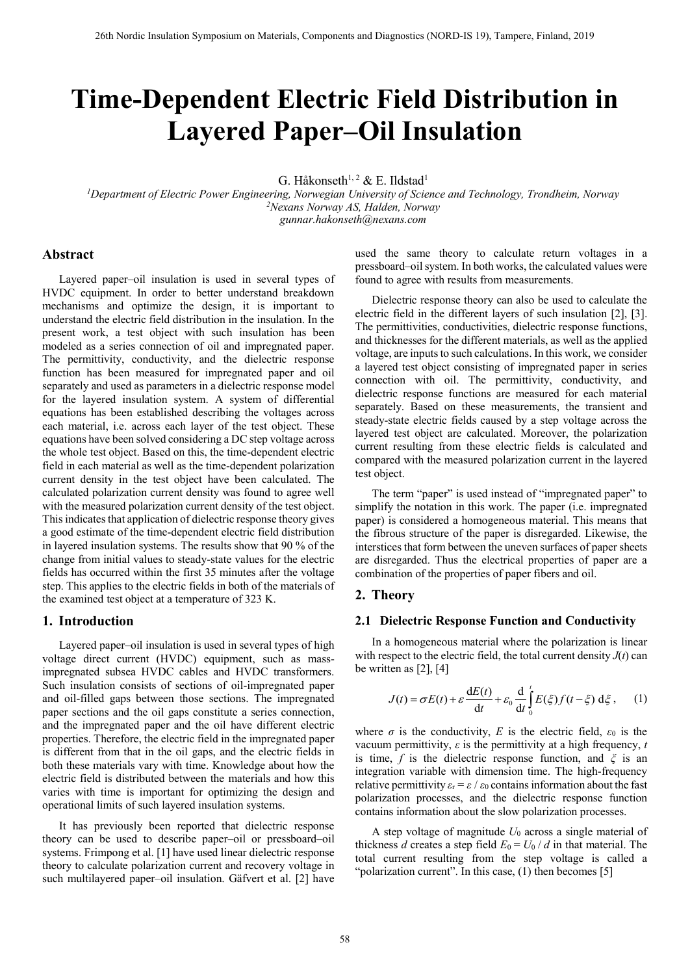# **Time-Dependent Electric Field Distribution in Layered Paper–Oil Insulation**

G. Håkonseth<sup>1, 2</sup> & E. Ildstad<sup>1</sup>

*<sup>1</sup>Department of Electric Power Engineering, Norwegian University of Science and Technology, Trondheim, Norway <sup>2</sup>Nexans Norway AS, Halden, Norway gunnar.hakonseth@nexans.com*

## **Abstract**

Layered paper–oil insulation is used in several types of HVDC equipment. In order to better understand breakdown mechanisms and optimize the design, it is important to understand the electric field distribution in the insulation. In the present work, a test object with such insulation has been modeled as a series connection of oil and impregnated paper. The permittivity, conductivity, and the dielectric response function has been measured for impregnated paper and oil separately and used as parameters in a dielectric response model for the layered insulation system. A system of differential equations has been established describing the voltages across each material, i.e. across each layer of the test object. These equations have been solved considering a DC step voltage across the whole test object. Based on this, the time-dependent electric field in each material as well as the time-dependent polarization current density in the test object have been calculated. The calculated polarization current density was found to agree well with the measured polarization current density of the test object. This indicates that application of dielectric response theory gives a good estimate of the time-dependent electric field distribution in layered insulation systems. The results show that 90 % of the change from initial values to steady-state values for the electric fields has occurred within the first 35 minutes after the voltage step. This applies to the electric fields in both of the materials of the examined test object at a temperature of 323 K.

## **1. Introduction**

Layered paper–oil insulation is used in several types of high voltage direct current (HVDC) equipment, such as massimpregnated subsea HVDC cables and HVDC transformers. Such insulation consists of sections of oil-impregnated paper and oil-filled gaps between those sections. The impregnated paper sections and the oil gaps constitute a series connection, and the impregnated paper and the oil have different electric properties. Therefore, the electric field in the impregnated paper is different from that in the oil gaps, and the electric fields in both these materials vary with time. Knowledge about how the electric field is distributed between the materials and how this varies with time is important for optimizing the design and operational limits of such layered insulation systems.

It has previously been reported that dielectric response theory can be used to describe paper–oil or pressboard–oil systems. Frimpong et al. [1] have used linear dielectric response theory to calculate polarization current and recovery voltage in such multilayered paper–oil insulation. Gäfvert et al. [2] have

used the same theory to calculate return voltages in a pressboard–oil system. In both works, the calculated values were found to agree with results from measurements.

Dielectric response theory can also be used to calculate the electric field in the different layers of such insulation [2], [3]. The permittivities, conductivities, dielectric response functions, and thicknesses for the different materials, as well as the applied voltage, are inputs to such calculations. In this work, we consider a layered test object consisting of impregnated paper in series connection with oil. The permittivity, conductivity, and dielectric response functions are measured for each material separately. Based on these measurements, the transient and steady-state electric fields caused by a step voltage across the layered test object are calculated. Moreover, the polarization current resulting from these electric fields is calculated and compared with the measured polarization current in the layered test object.

The term "paper" is used instead of "impregnated paper" to simplify the notation in this work. The paper (i.e. impregnated paper) is considered a homogeneous material. This means that the fibrous structure of the paper is disregarded. Likewise, the interstices that form between the uneven surfaces of paper sheets are disregarded. Thus the electrical properties of paper are a combination of the properties of paper fibers and oil.

# **2. Theory**

#### **2.1 Dielectric Response Function and Conductivity**

In a homogeneous material where the polarization is linear with respect to the electric field, the total current density  $J(t)$  can be written as [2], [4]

$$
J(t) = \sigma E(t) + \varepsilon \frac{dE(t)}{dt} + \varepsilon_0 \frac{d}{dt} \int_0^t E(\xi) f(t - \xi) d\xi,
$$
 (1)

where  $\sigma$  is the conductivity, *E* is the electric field,  $\varepsilon_0$  is the vacuum permittivity, *ε* is the permittivity at a high frequency, *t* is time, *f* is the dielectric response function, and *ξ* is an integration variable with dimension time. The high-frequency relative permittivity  $\varepsilon_r = \varepsilon / \varepsilon_0$  contains information about the fast polarization processes, and the dielectric response function contains information about the slow polarization processes.

A step voltage of magnitude *U*<sup>0</sup> across a single material of thickness *d* creates a step field  $E_0 = U_0 / d$  in that material. The total current resulting from the step voltage is called a "polarization current". In this case, (1) then becomes [5]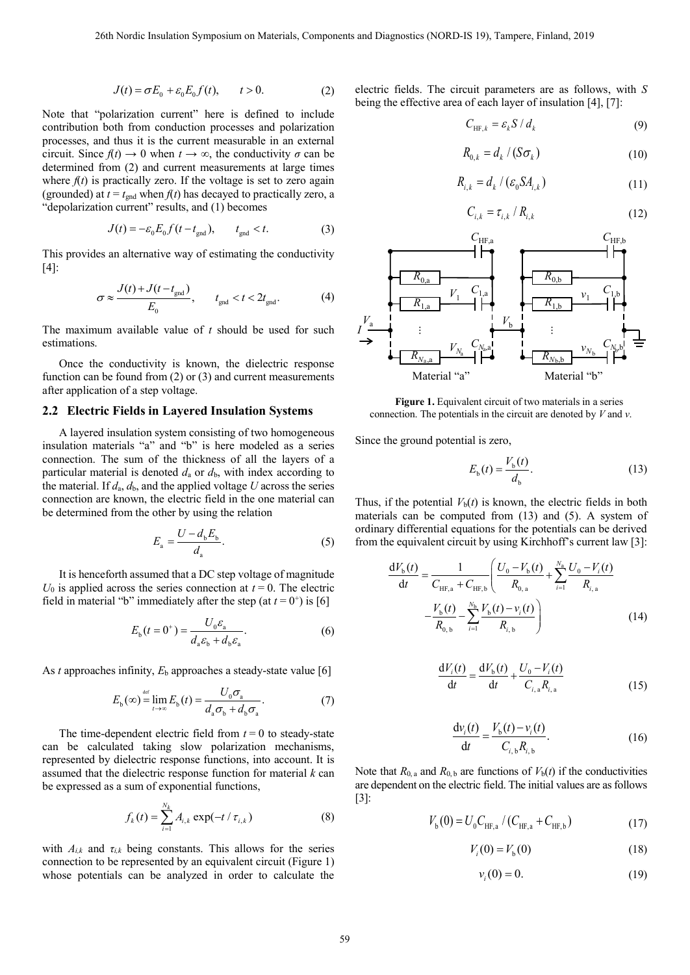$$
J(t) = \sigma E_0 + \varepsilon_0 E_0 f(t), \qquad t > 0.
$$
 (2)

Note that "polarization current" here is defined to include contribution both from conduction processes and polarization processes, and thus it is the current measurable in an external circuit. Since  $f(t) \to 0$  when  $t \to \infty$ , the conductivity  $\sigma$  can be determined from (2) and current measurements at large times where  $f(t)$  is practically zero. If the voltage is set to zero again (grounded) at  $t = t_{\text{gnd}}$  when  $f(t)$  has decayed to practically zero, a "depolarization current" results, and (1) becomes

$$
J(t) = -\varepsilon_0 E_0 f(t - t_{\text{gnd}}), \qquad t_{\text{gnd}} < t. \tag{3}
$$

This provides an alternative way of estimating the conductivity [4]:

$$
\sigma \approx \frac{J(t) + J(t - t_{\text{gnd}})}{E_0}, \qquad t_{\text{gnd}} < t < 2t_{\text{gnd}}.
$$
 (4)

The maximum available value of *t* should be used for such estimations.

Once the conductivity is known, the dielectric response function can be found from (2) or (3) and current measurements after application of a step voltage.

# **2.2 Electric Fields in Layered Insulation Systems**

A layered insulation system consisting of two homogeneous insulation materials "a" and "b" is here modeled as a series connection. The sum of the thickness of all the layers of a particular material is denoted  $d_a$  or  $d_b$ , with index according to the material. If  $d_a$ ,  $d_b$ , and the applied voltage *U* across the series connection are known, the electric field in the one material can be determined from the other by using the relation

$$
E_{\rm a} = \frac{U - d_{\rm b} E_{\rm b}}{d_{\rm a}}.\tag{5}
$$

It is henceforth assumed that a DC step voltage of magnitude  $U_0$  is applied across the series connection at  $t = 0$ . The electric field in material "b" immediately after the step (at  $t = 0^+$ ) is [6]

$$
E_{\mathbf{b}}(t=0^{+}) = \frac{U_{0}\varepsilon_{\mathbf{a}}}{d_{\mathbf{a}}\varepsilon_{\mathbf{b}} + d_{\mathbf{b}}\varepsilon_{\mathbf{a}}}.
$$
 (6)

As *t* approaches infinity,  $E<sub>b</sub>$  approaches a steady-state value [6]

$$
E_{\mathbf{b}}(\infty) \stackrel{\text{def}}{=} \lim_{t \to \infty} E_{\mathbf{b}}(t) = \frac{U_0 \sigma_{\mathbf{a}}}{d_{\mathbf{a}} \sigma_{\mathbf{b}} + d_{\mathbf{b}} \sigma_{\mathbf{a}}}.
$$
(7)

The time-dependent electric field from  $t = 0$  to steady-state can be calculated taking slow polarization mechanisms, represented by dielectric response functions, into account. It is assumed that the dielectric response function for material *k* can be expressed as a sum of exponential functions,

$$
f_k(t) = \sum_{i=1}^{N_k} A_{i,k} \exp(-t / \tau_{i,k})
$$
 (8)

with  $A_{i,k}$  and  $\tau_{i,k}$  being constants. This allows for the series connection to be represented by an equivalent circuit [\(Figure 1\)](#page-1-0) whose potentials can be analyzed in order to calculate the

electric fields. The circuit parameters are as follows, with *S* being the effective area of each layer of insulation [4], [7]:

$$
C_{\text{HF},k} = \varepsilon_k S / d_k \tag{9}
$$

$$
R_{0,k} = d_k / (S\sigma_k)
$$
 (10)

$$
R_{i,k} = d_k / (\varepsilon_0 S A_{i,k})
$$
\n(11)

$$
C_{i,k} = \tau_{i,k} / R_{i,k} \tag{12}
$$



<span id="page-1-0"></span>**Figure 1.** Equivalent circuit of two materials in a series connection. The potentials in the circuit are denoted by *V* and *v*.

Since the ground potential is zero,

$$
E_{\rm b}(t) = \frac{V_{\rm b}(t)}{d_{\rm b}}.\tag{13}
$$

Thus, if the potential  $V<sub>b</sub>(t)$  is known, the electric fields in both materials can be computed from (13) and (5). A system of ordinary differential equations for the potentials can be derived

from the equivalent circuit by using Kirchhoff's current law [3]:  
\n
$$
\frac{dV_{b}(t)}{dt} = \frac{1}{C_{HF,a} + C_{HF,b}} \left( \frac{U_{0} - V_{b}(t)}{R_{0,a}} + \sum_{i=1}^{N_a} \frac{U_{0} - V_{i}(t)}{R_{i,a}} - \frac{V_{b}(t)}{R_{0,b}} - \sum_{i=1}^{N_b} \frac{V_{b}(t) - V_{i}(t)}{R_{i,b}} \right)
$$
\n(14)

$$
\frac{dV_i(t)}{dt} = \frac{dV_b(t)}{dt} + \frac{U_0 - V_i(t)}{C_{i,a}R_{i,a}}
$$
(15)

$$
\frac{dv_i(t)}{dt} = \frac{V_b(t) - v_i(t)}{C_{i,b}R_{i,b}}.
$$
\n(16)

Note that  $R_{0, a}$  and  $R_{0, b}$  are functions of  $V_b(t)$  if the conductivities are dependent on the electric field. The initial values are as follows [3]:

$$
V_{\rm b}(0) = U_0 C_{\rm HF,a} / (C_{\rm HF,a} + C_{\rm HF,b})
$$
 (17)

$$
V_i(0) = V_{\rm b}(0) \tag{18}
$$

$$
v_i(0) = 0.\t(19)
$$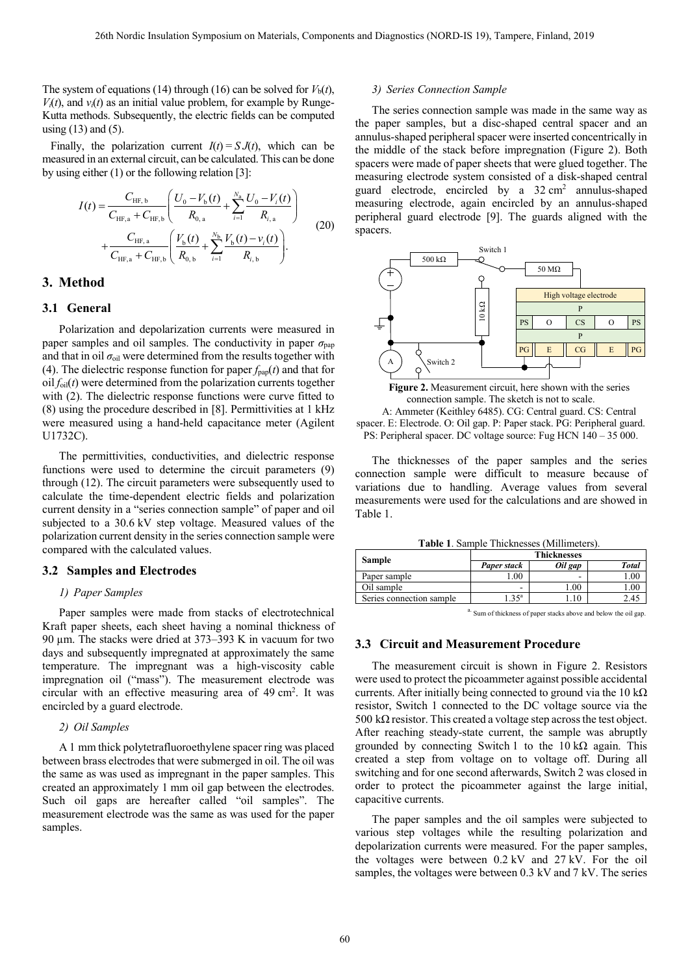The system of equations (14) through (16) can be solved for  $V<sub>b</sub>(t)$ ,  $V_i(t)$ , and  $v_i(t)$  as an initial value problem, for example by Runge-Kutta methods. Subsequently, the electric fields can be computed using  $(13)$  and  $(5)$ .

Finally, the polarization current  $I(t) = S J(t)$ , which can be measured in an external circuit, can be calculated. This can be done by using either (1) or the following relation [3]:

$$
I(t) = \frac{C_{\text{HF},b}}{C_{\text{HF},a} + C_{\text{HF},b}} \left( \frac{U_0 - V_b(t)}{R_{0,a}} + \sum_{i=1}^{N_a} \frac{U_0 - V_i(t)}{R_{i,a}} \right) + \frac{C_{\text{HF},a}}{C_{\text{HF},a} + C_{\text{HF},b}} \left( \frac{V_b(t)}{R_{0,b}} + \sum_{i=1}^{N_b} \frac{V_b(t) - v_i(t)}{R_{i,b}} \right).
$$
(20)

# **3. Method**

#### **3.1 General**

Polarization and depolarization currents were measured in paper samples and oil samples. The conductivity in paper  $\sigma_{\text{pap}}$ and that in oil  $\sigma_{\text{oil}}$  were determined from the results together with (4). The dielectric response function for paper  $f_{\text{pap}}(t)$  and that for  $\text{oil } f_{\text{oil}}(t)$  were determined from the polarization currents together with (2). The dielectric response functions were curve fitted to (8) using the procedure described in [8]. Permittivities at 1 kHz were measured using a hand-held capacitance meter (Agilent U1732C).

The permittivities, conductivities, and dielectric response functions were used to determine the circuit parameters (9) through (12). The circuit parameters were subsequently used to calculate the time-dependent electric fields and polarization current density in a "series connection sample" of paper and oil subjected to a 30.6 kV step voltage. Measured values of the polarization current density in the series connection sample were compared with the calculated values.

#### **3.2 Samples and Electrodes**

#### *1) Paper Samples*

Paper samples were made from stacks of electrotechnical Kraft paper sheets, each sheet having a nominal thickness of 90 µm. The stacks were dried at 373–393 K in vacuum for two days and subsequently impregnated at approximately the same temperature. The impregnant was a high-viscosity cable impregnation oil ("mass"). The measurement electrode was circular with an effective measuring area of 49 cm<sup>2</sup>. It was encircled by a guard electrode.

### *2) Oil Samples*

A 1 mm thick polytetrafluoroethylene spacer ring was placed between brass electrodes that were submerged in oil. The oil was the same as was used as impregnant in the paper samples. This created an approximately 1 mm oil gap between the electrodes. Such oil gaps are hereafter called "oil samples". The measurement electrode was the same as was used for the paper samples.

#### *3) Series Connection Sample*

The series connection sample was made in the same way as the paper samples, but a disc-shaped central spacer and an annulus-shaped peripheral spacer were inserted concentrically in the middle of the stack before impregnation [\(Figure 2\)](#page-2-0). Both spacers were made of paper sheets that were glued together. The measuring electrode system consisted of a disk-shaped central guard electrode, encircled by a 32 cm<sup>2</sup> annulus-shaped measuring electrode, again encircled by an annulus-shaped peripheral guard electrode [9]. The guards aligned with the spacers.



**Figure 2.** Measurement circuit, here shown with the series connection sample. The sketch is not to scale.

<span id="page-2-0"></span>A: Ammeter (Keithley 6485). CG: Central guard. CS: Central spacer. E: Electrode. O: Oil gap. P: Paper stack. PG: Peripheral guard. PS: Peripheral spacer. DC voltage source: Fug HCN  $140 - 35000$ .

The thicknesses of the paper samples and the series connection sample were difficult to measure because of variations due to handling. Average values from several measurements were used for the calculations and are showed in [Table 1.](#page-2-1)

**Table 1**. Sample Thicknesses (Millimeters).

<span id="page-2-1"></span>

| <b>Sample</b>            | <b>Thicknesses</b> |         |              |
|--------------------------|--------------------|---------|--------------|
|                          | Paper stack        | Oil gap | <b>Total</b> |
| Paper sample             | 0.00               | ۰       | 1.00         |
| Oil sample               | ۰                  | 00.1    |              |
| Series connection sample | .35 <sup>a</sup>   |         |              |
|                          |                    |         |              |

a. Sum of thickness of paper stacks above and below the oil gap.

# **3.3 Circuit and Measurement Procedure**

The measurement circuit is shown in [Figure 2.](#page-2-0) Resistors were used to protect the picoammeter against possible accidental currents. After initially being connected to ground via the 10 k $\Omega$ resistor, Switch 1 connected to the DC voltage source via the 500 k $\Omega$  resistor. This created a voltage step across the test object. After reaching steady-state current, the sample was abruptly grounded by connecting Switch 1 to the  $10 \text{ k}\Omega$  again. This created a step from voltage on to voltage off. During all switching and for one second afterwards, Switch 2 was closed in order to protect the picoammeter against the large initial, capacitive currents.

The paper samples and the oil samples were subjected to various step voltages while the resulting polarization and depolarization currents were measured. For the paper samples, the voltages were between 0.2 kV and 27 kV. For the oil samples, the voltages were between 0.3 kV and 7 kV. The series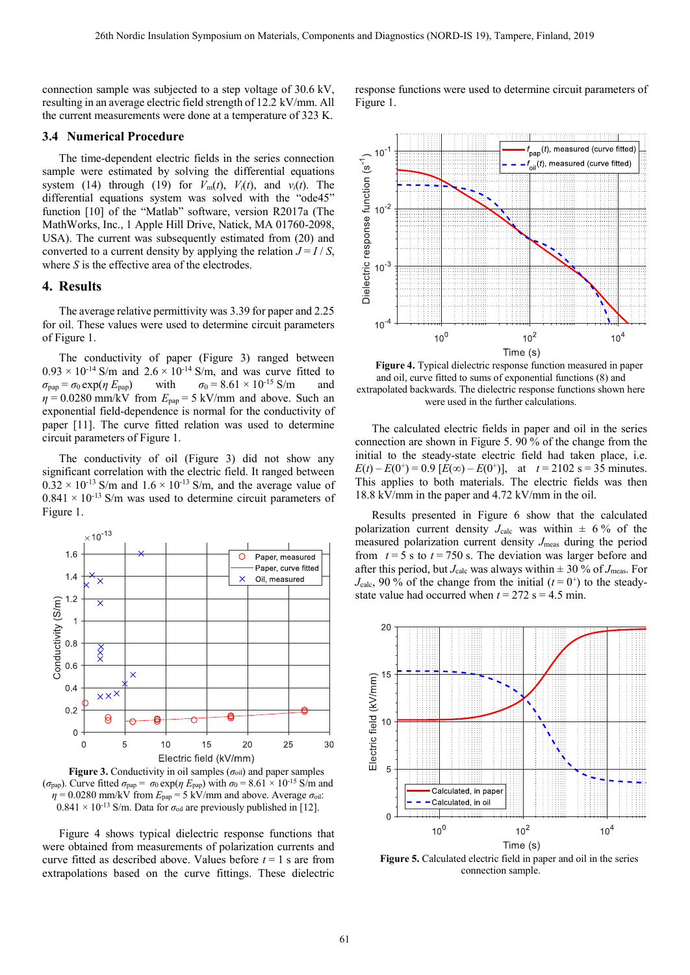connection sample was subjected to a step voltage of 30.6 kV, resulting in an average electric field strength of 12.2 kV/mm. All the current measurements were done at a temperature of 323 K.

# **3.4 Numerical Procedure**

The time-dependent electric fields in the series connection sample were estimated by solving the differential equations system (14) through (19) for  $V_m(t)$ ,  $V_i(t)$ , and  $v_i(t)$ . The differential equations system was solved with the "ode45" function [10] of the "Matlab" software, version R2017a (The MathWorks, Inc., 1 Apple Hill Drive, Natick, MA 01760-2098, USA). The current was subsequently estimated from (20) and converted to a current density by applying the relation  $J = I / S$ , where *S* is the effective area of the electrodes.

### **4. Results**

The average relative permittivity was 3.39 for paper and 2.25 for oil. These values were used to determine circuit parameters of [Figure 1.](#page-1-0)

The conductivity of paper [\(Figure 3\)](#page-3-0) ranged between  $0.93 \times 10^{-14}$  S/m and  $2.6 \times 10^{-14}$  S/m, and was curve fitted to  $\sigma_{\text{pap}} = \sigma_0 \exp(\eta E_{\text{pap}})$  with  $\sigma_0 = 8.61 \times 10^{-15} \text{ S/m}$  and  $\eta = 0.0280$  mm/kV from  $E_{\text{pap}} = 5$  kV/mm and above. Such an exponential field-dependence is normal for the conductivity of paper [11]. The curve fitted relation was used to determine circuit parameters of [Figure 1.](#page-1-0)

The conductivity of oil [\(Figure 3\)](#page-3-0) did not show any significant correlation with the electric field. It ranged between  $0.32 \times 10^{-13}$  S/m and  $1.6 \times 10^{-13}$  S/m, and the average value of  $0.841 \times 10^{-13}$  S/m was used to determine circuit parameters of [Figure 1.](#page-1-0)



<span id="page-3-0"></span>**Figure 3.** Conductivity in oil samples  $(\sigma_{oil})$  and paper samples (*σ*<sub>pap</sub>). Curve fitted  $\sigma_{pap} = \sigma_0 \exp(\eta E_{pap})$  with  $\sigma_0 = 8.61 \times 10^{-15}$  S/m and  $\eta = 0.0280$  mm/kV from  $E_{\text{pap}} = 5$  kV/mm and above. Average  $\sigma_{\text{oil}}$ :  $0.841 \times 10^{-13}$  S/m. Data for  $\sigma_{\text{oil}}$  are previously published in [12].

[Figure 4](#page-3-1) shows typical dielectric response functions that were obtained from measurements of polarization currents and curve fitted as described above. Values before *t* = 1 s are from extrapolations based on the curve fittings. These dielectric

response functions were used to determine circuit parameters of [Figure 1.](#page-1-0)



<span id="page-3-1"></span>**Figure 4.** Typical dielectric response function measured in paper and oil, curve fitted to sums of exponential functions (8) and extrapolated backwards. The dielectric response functions shown here were used in the further calculations.

The calculated electric fields in paper and oil in the series connection are shown in [Figure 5.](#page-3-2) 90 % of the change from the initial to the steady-state electric field had taken place, i.e.  $E(t) - E(0^+) = 0.9$  [ $E(\infty) - E(0^+)$ ], at  $t = 2102$  s = 35 minutes. This applies to both materials. The electric fields was then 18.8 kV/mm in the paper and 4.72 kV/mm in the oil.

Results presented in [Figure 6](#page-4-0) show that the calculated polarization current density  $J_{\text{calc}}$  was within  $\pm$  6% of the measured polarization current density *J*meas during the period from  $t = 5$  s to  $t = 750$  s. The deviation was larger before and after this period, but  $J_{\text{calc}}$  was always within  $\pm$  30 % of  $J_{\text{meas}}$ . For  $J_{\text{calc}}$ , 90 % of the change from the initial  $(t=0^+)$  to the steadystate value had occurred when  $t = 272$  s = 4.5 min.



<span id="page-3-2"></span>**Figure 5.** Calculated electric field in paper and oil in the series connection sample.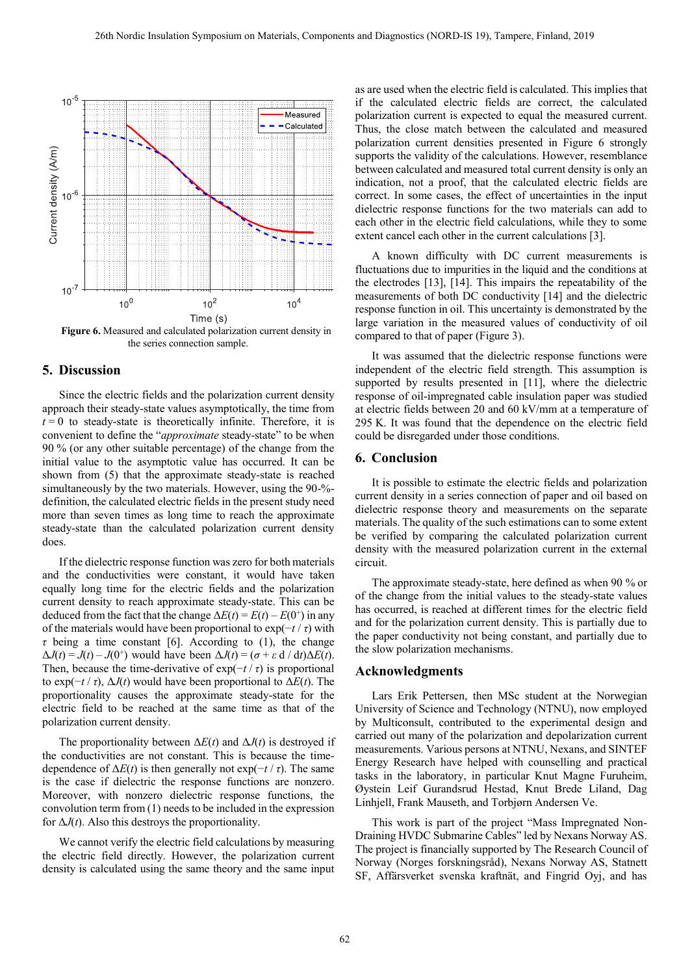

<span id="page-4-0"></span>**Figure 6.** Measured and calculated polarization current density in the series connection sample.

# **5. Discussion**

Since the electric fields and the polarization current density approach their steady-state values asymptotically, the time from  $t = 0$  to steady-state is theoretically infinite. Therefore, it is convenient to define the "*approximate* steady-state" to be when 90 % (or any other suitable percentage) of the change from the initial value to the asymptotic value has occurred. It can be shown from (5) that the approximate steady-state is reached simultaneously by the two materials. However, using the 90-% definition, the calculated electric fields in the present study need more than seven times as long time to reach the approximate steady-state than the calculated polarization current density does.

If the dielectric response function was zero for both materials and the conductivities were constant, it would have taken equally long time for the electric fields and the polarization current density to reach approximate steady-state. This can be deduced from the fact that the change  $\Delta E(t) = E(t) - E(0^+)$  in any of the materials would have been proportional to  $\exp(-t/\tau)$  with *τ* being a time constant [6]. According to (1), the change  $\Delta J(t) = J(t) - J(0^+)$  would have been  $\Delta J(t) = (\sigma + \varepsilon \, d / dt) \Delta E(t)$ . Then, because the time-derivative of  $exp(-t / \tau)$  is proportional to exp(−*t* / *τ*), Δ*J*(*t*) would have been proportional to Δ*E*(*t*). The proportionality causes the approximate steady-state for the electric field to be reached at the same time as that of the polarization current density.

The proportionality between  $\Delta E(t)$  and  $\Delta J(t)$  is destroyed if the conductivities are not constant. This is because the timedependence of  $\Delta E(t)$  is then generally not exp( $-t / \tau$ ). The same is the case if dielectric the response functions are nonzero. Moreover, with nonzero dielectric response functions, the convolution term from (1) needs to be included in the expression for  $\Delta J(t)$ . Also this destroys the proportionality.

We cannot verify the electric field calculations by measuring the electric field directly. However, the polarization current density is calculated using the same theory and the same input

as are used when the electric field is calculated. This implies that if the calculated electric fields are correct, the calculated polarization current is expected to equal the measured current. Thus, the close match between the calculated and measured polarization current densities presented in [Figure 6](#page-4-0) strongly supports the validity of the calculations. However, resemblance between calculated and measured total current density is only an indication, not a proof, that the calculated electric fields are correct. In some cases, the effect of uncertainties in the input dielectric response functions for the two materials can add to each other in the electric field calculations, while they to some extent cancel each other in the current calculations [3].

A known difficulty with DC current measurements is fluctuations due to impurities in the liquid and the conditions at the electrodes [13], [14]. This impairs the repeatability of the measurements of both DC conductivity [14] and the dielectric response function in oil. This uncertainty is demonstrated by the large variation in the measured values of conductivity of oil compared to that of paper [\(Figure 3\)](#page-3-0).

It was assumed that the dielectric response functions were independent of the electric field strength. This assumption is supported by results presented in [11], where the dielectric response of oil-impregnated cable insulation paper was studied at electric fields between 20 and 60 kV/mm at a temperature of 295 K. It was found that the dependence on the electric field could be disregarded under those conditions.

#### **6. Conclusion**

It is possible to estimate the electric fields and polarization current density in a series connection of paper and oil based on dielectric response theory and measurements on the separate materials. The quality of the such estimations can to some extent be verified by comparing the calculated polarization current density with the measured polarization current in the external circuit.

The approximate steady-state, here defined as when 90 % or of the change from the initial values to the steady-state values has occurred, is reached at different times for the electric field and for the polarization current density. This is partially due to the paper conductivity not being constant, and partially due to the slow polarization mechanisms.

#### **Acknowledgments**

Lars Erik Pettersen, then MSc student at the Norwegian University of Science and Technology (NTNU), now employed by Multiconsult, contributed to the experimental design and carried out many of the polarization and depolarization current measurements. Various persons at NTNU, Nexans, and SINTEF Energy Research have helped with counselling and practical tasks in the laboratory, in particular Knut Magne Furuheim, Øystein Leif Gurandsrud Hestad, Knut Brede Liland, Dag Linhjell, Frank Mauseth, and Torbjørn Andersen Ve.

This work is part of the project "Mass Impregnated Non-Draining HVDC Submarine Cables" led by Nexans Norway AS. The project is financially supported by The Research Council of Norway (Norges forskningsråd), Nexans Norway AS, Statnett SF, Affärsverket svenska kraftnät, and Fingrid Oyj, and has